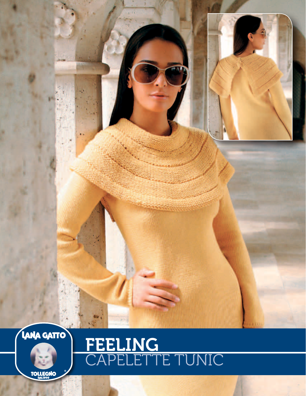



# FEELING<br>CAPELETTE TUNIC

**TOLLEGNO**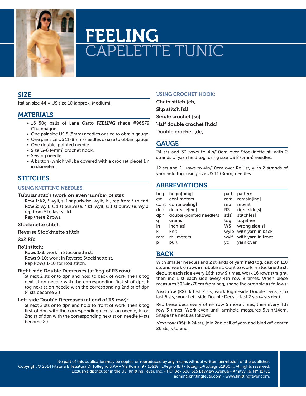

# FEELING CAPELETTE TUNIC

## SIZE

Italian size 44 = US size 10 (approx. Medium).

### MATERIALS

- 16 50g balls of Lana Gatto FEELING shade #96879 Champagne.
- One pair size US 8 (5mm) needles or size to obtain gauge.
- One pair size US 11 (8mm) needles or size to obtain gauge.
- One double-pointed needle.
- Size G-6 (4mm) crochet hook.
- Sewing needle.
- A button (which will be covered with a crochet piece) 1in in diameter.

# **STITCHES**

#### Using Knitting needles:

#### Tubular stitch (work on even number of sts):

Row 1: k2, \* wyif, sl 1 st purlwise, wyib, k1, rep from \* to end. Row 2: wyif, sl 1 st purlwise, \* k1, wyif, sl 1 st purlwise, wyib, rep from \* to last st, k1. Rep these 2 rows.

#### Stockinette stitch

#### Reverse Stockinette stitch

#### 2x2 Rib

#### Roll stitch:

Rows 1-8: work in Stockinette st. Rows 9-10: work in Reverse Stockinette st. Rep Rows 1-10 for Roll stitch.

#### Right-side Double Decreases (at beg of RS row):

Sl next 2 sts onto dpn and hold to back of work, then k tog next st on needle with the corresponding first st of dpn, k tog next st on needle with the corresponding 2nd st of dpn (4 sts become 2.)

#### Left-side Double Decreases (at end of RS row):

Sl next 2 sts onto dpn and hold to front of work, then k tog first of dpn with the corresponding next st on needle, k tog 2nd st of dpn with the corresponding next st on needle (4 sts become 2.)

#### Using crochet hook:

Chain stitch [ch] Slip stitch [sl] Single crochet [sc] Half double crochet [hdc] Double crochet [dc]

# **GAUGE**

24 sts and 33 rows to 4in/10cm over Stockinette st, with 2 strands of yarn held tog, using size US 8 (5mm) needles.

12 sts and 21 rows to 4in/10cm over Roll st, with 2 strands of yarn held tog, using size US 11 (8mm) needles.

# ABBREVIATIONS

| beg | begin[ning]             | patt  | pattern            |
|-----|-------------------------|-------|--------------------|
| cm  | centimeters             | rem   | remain[ing]        |
|     | cont continue[ing]      | rep   | repeat             |
| dec | decrease[ing]           | RS.   | right side[s]      |
| dpn | double-pointed needle/s | st[s] | stitch[es]         |
| g   | grams                   | tog   | together           |
| in  | inch[es]                | WS    | wrong side[s]      |
| k   | knit                    | wvib  | with yarn in back  |
| mm  | milimeters              | wvif  | with yarn in front |
| р   | purl                    | VO    | yarn over          |

# BACK

With smaller needles and 2 strands of yarn held tog, cast on 110 sts and work 6 rows in Tubular st. Cont to work in Stockinette st, dec 1 st each side every 16th row 9 times, work 16 rows straight, then inc 1 st each side every 4th row 9 times. When piece measures 30<sup>3</sup>/<sub>4</sub>in/78cm from beg, shape the armhole as follows:

Next row (RS): k first 2 sts, work Right-side Double Decs, k to last 6 sts, work Left-side Double Decs, k last 2 sts (4 sts dec).

Rep these decs every other row 5 more times, then every 4th row 3 times. Work even until armhole measures 5½in/14cm. Shape the neck as follows:

Next row (RS): k 24 sts, join 2nd ball of yarn and bind off center 26 sts, k to end.

No part of this publication may be copied or reproduced by any means without written permission of the publisher. Copyright © 2014 Filatura E Tessitura Di Tollegno S.P.A • Via Roma, 9 • 13818 Tollegno (BI) • tollegno@tollegno1900.it. All rights reserved. Exclusive distributor in the US: Knitting Fever, Inc. - PO. Box 336, 315 Bayview Avenue - Amityville, NY 11701 admin@knittingfever.com - www.knittingfever.com.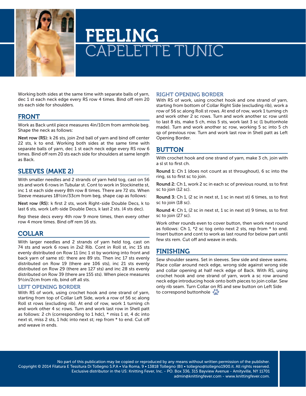

# FEELING **APELETTE TUNIC**

Working both sides at the same time with separate balls of yarn, dec 1 st each neck edge every RS row 4 times. Bind off rem 20 sts each side for shoulders.

### FRONT

Work as Back until piece measures 4in/10cm from armhole beg. Shape the neck as follows:

Next row (RS): k 26 sts, join 2nd ball of yarn and bind off center 22 sts, k to end. Working both sides at the same time with separate balls of yarn, dec 1 st each neck edge every RS row 6 times. Bind off rem 20 sts each side for shoulders at same length as Back.

# SLEEVES (make 2)

With smaller needles and 2 strands of yarn held tog, cast on 56 sts and work 6 rows in Tubular st. Cont to work in Stockinette st, inc 1 st each side every 8th row 8 times. There are 72 sts. When Sleeve measures 18½in/33cm from beg, shape cap as follows:

Next row (RS): k first 2 sts, work Right-side Double Decs, k to last 6 sts, work Left-side Double Decs, k last 2 sts. (4 sts dec).

Rep these decs every 4th row 9 more times, then every other row 4 more times. Bind off rem 16 sts.

# COLLAR

With larger needles and 2 strands of yarn held tog, cast on 74 sts and work 6 rows in 2x2 Rib. Cont in Roll st, inc 15 sts evenly distributed on Row 11 (inc 1 st by working into front and back yarn of same st): there are 89 sts. Then inc 17 sts evenly distributed on Row 19 (there are 106 sts), inc 21 sts evenly distributed on Row 29 (there are 127 sts) and inc 28 sts evenly distributed on Row 39 (there are 155 sts). When piece measures 9½in/2cm from rib, bind off all sts.

#### Left opening Border

With RS of work, using crochet hook and one strand of yarn, starting from top of Collar Left Side, work a row of 56 sc along Roll st rows (excluding rib). At end of row, work 1 turning ch and work other 4 sc rows. Turn and work last row in Shell patt as follows: 2 ch (corresponding to 1 hdc), \* miss 1 st, 4 dc into next st, miss 2 sts, 1 hdc into next st; rep from \* to end. Cut off and weave in ends.

#### Right opening Border

With RS of work, using crochet hook and one strand of yarn, starting from bottom of Collar Right Side (excluding rib), work a row of 56 sc along Roll st rows. At end of row, work 1 turning ch and work other 2 sc rows. Turn and work another sc row until to last 8 sts, make 5 ch, miss 5 sts, work last 3 sc (1 buttonhole made). Turn and work another sc row, working 5 sc into 5 ch sp of previous row. Turn and work last row in Shell patt as Left Opening Border.

# BUTTON

With crochet hook and one strand of yarn, make 3 ch, join with a sl st to first ch.

Round 1: Ch 1 (does not count as st throughout), 6 sc into the ring, ss to first sc to join.

Round 2: Ch 1, work 2 sc in each sc of previous round, ss to first sc to join (12 sc).

Round 3: Ch 1, (2 sc in next st, 1 sc in next st) 6 times, ss to first sc to join (18 sc).

Round 4: Ch 1, (2 sc in next st, 1 sc in next st) 9 times, ss to first sc to join (27 sc).

Work other rounds even to cover button, then work next round as follows: Ch 1, \*2 sc tog onto next 2 sts, rep from \* to end. Insert button and cont to work as last round for below part until few sts rem. Cut off and weave in ends.

# FINISHING

Sew shoulder seams. Set in sleeves. Sew side and sleeve seams. Place collar around neck edge, wrong side against wrong side and collar opening at half neck edge of Back. With RS, using crochet hook and one strand of yarn, work a sc row around neck edge introducing hook onto both pieces to join collar. Sew only rib seam. Turn Collar on RS and sew button on Left Side to correspond buttonhole  $\mathbf{C}$ 

No part of this publication may be copied or reproduced by any means without written permission of the publisher. Copyright © 2014 Filatura E Tessitura Di Tollegno S.P.A • Via Roma, 9 • 13818 Tollegno (BI) • tollegno@tollegno1900.it. All rights reserved. Exclusive distributor in the US: Knitting Fever, Inc. - PO. Box 336, 315 Bayview Avenue - Amityville, NY 11701 admin@knittingfever.com - www.knittingfever.com.